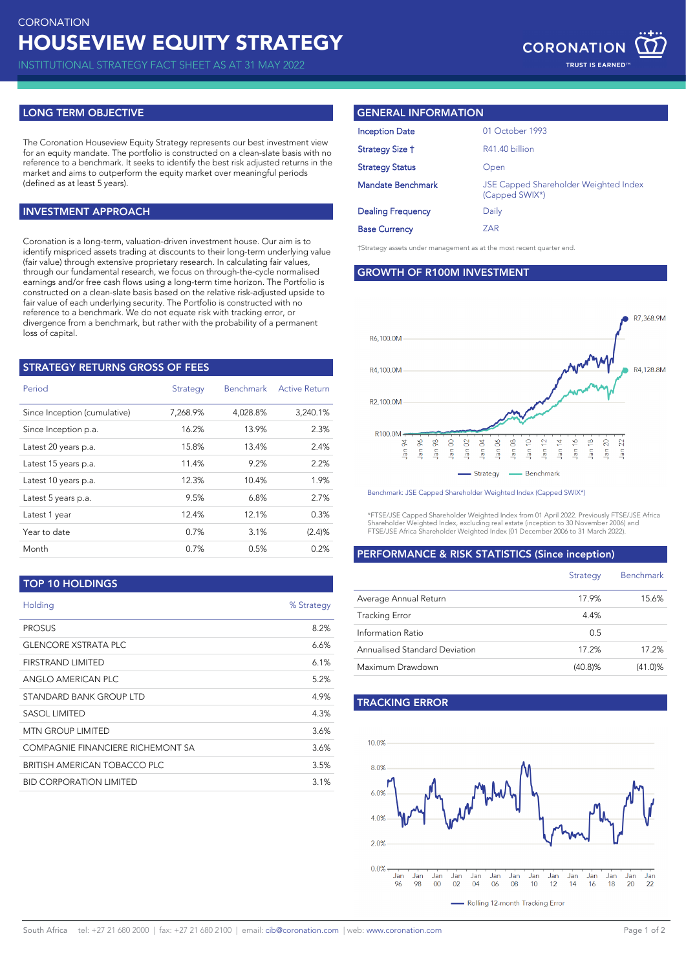INSTITUTIONAL STRATEGY FACT SHEET AS AT 31 MAY 2022

# **LONG TERM OBJECTIVE**

The Coronation Houseview Equity Strategy represents our best investment view for an equity mandate. The portfolio is constructed on a clean-slate basis with no reference to a benchmark. It seeks to identify the best risk adjusted returns in the market and aims to outperform the equity market over meaningful periods (defined as at least 5 years).

## **INVESTMENT APPROACH**

Coronation is a long-term, valuation-driven investment house. Our aim is to identify mispriced assets trading at discounts to their long-term underlying value (fair value) through extensive proprietary research. In calculating fair values, through our fundamental research, we focus on through-the-cycle normalised earnings and/or free cash flows using a long-term time horizon. The Portfolio is constructed on a clean-slate basis based on the relative risk-adjusted upside to fair value of each underlying security. The Portfolio is constructed with no reference to a benchmark. We do not equate risk with tracking error, or divergence from a benchmark, but rather with the probability of a permanent loss of capital.

| <b>STRATEGY RETURNS GROSS OF FEES</b> |          |                  |                      |
|---------------------------------------|----------|------------------|----------------------|
| Period                                | Strategy | <b>Benchmark</b> | <b>Active Return</b> |
| Since Inception (cumulative)          | 7,268.9% | 4,028.8%         | 3,240.1%             |
| Since Inception p.a.                  | 16.2%    | 13.9%            | 2.3%                 |
| Latest 20 years p.a.                  | 15.8%    | 13.4%            | 2.4%                 |
| Latest 15 years p.a.                  | 11.4%    | 9.2%             | 2.2%                 |
| Latest 10 years p.a.                  | 12.3%    | 10.4%            | 1.9%                 |
| Latest 5 years p.a.                   | 9.5%     | 6.8%             | 2.7%                 |
| Latest 1 year                         | 12.4%    | 12.1%            | 0.3%                 |
| Year to date                          | 0.7%     | 3.1%             | (2.4)%               |
| Month                                 | 0.7%     | 0.5%             | 0.2%                 |
|                                       |          |                  |                      |

## **TOP 10 HOLDINGS**

| Holding                           | % Strategy |
|-----------------------------------|------------|
| <b>PROSUS</b>                     | 8.2%       |
| <b>GLENCORE XSTRATA PLC</b>       | 6.6%       |
| FIRSTRAND LIMITED                 | 6.1%       |
| ANGI O AMERICAN PLC.              | 5.2%       |
| STANDARD BANK GROUP LTD           | 4.9%       |
| SASOL LIMITED                     | 4.3%       |
| <b>MTN GROUP LIMITED</b>          | 3.6%       |
| COMPAGNIE FINANCIERE RICHEMONT SA | 3.6%       |
| BRITISH AMERICAN TOBACCO PLC      | 3.5%       |
| <b>BID CORPORATION LIMITED</b>    | 3.1%       |
|                                   |            |

# **GENERAL INFORMATION**

| <b>Inception Date</b>    | 01 October 1993                                                |
|--------------------------|----------------------------------------------------------------|
| Strategy Size †          | R41.40 billion                                                 |
| <b>Strategy Status</b>   | Open                                                           |
| Mandate Benchmark        | <b>JSE Capped Shareholder Weighted Index</b><br>(Capped SWIX*) |
| <b>Dealing Frequency</b> | Daily                                                          |
| <b>Base Currency</b>     | ZAR                                                            |
|                          |                                                                |

†Strategy assets under management as at the most recent quarter end.

**GROWTH OF R100M INVESTMENT**



Benchmark: JSE Capped Shareholder Weighted Index (Capped SWIX\*)

\*FTSE/JSE Capped Shareholder Weighted Index from 01 April 2022. Previously FTSE/JSE Africa Shareholder Weighted Index, excluding real estate (inception to 30 November 2006) and FTSE/JSE Africa Shareholder Weighted Index (01 December 2006 to 31 March 2022).

### **PERFORMANCE & RISK STATISTICS (Since inception)**

|                               | Strategy   | <b>Benchmark</b> |
|-------------------------------|------------|------------------|
| Average Annual Return         | 17.9%      | 15.6%            |
| <b>Tracking Error</b>         | 4.4%       |                  |
| Information Ratio             | 0.5        |                  |
| Annualised Standard Deviation | 17.2%      | 17.2%            |
| Maximum Drawdown              | $(40.8)\%$ | $(41.0)\%$       |

# **TRACKING ERROR**